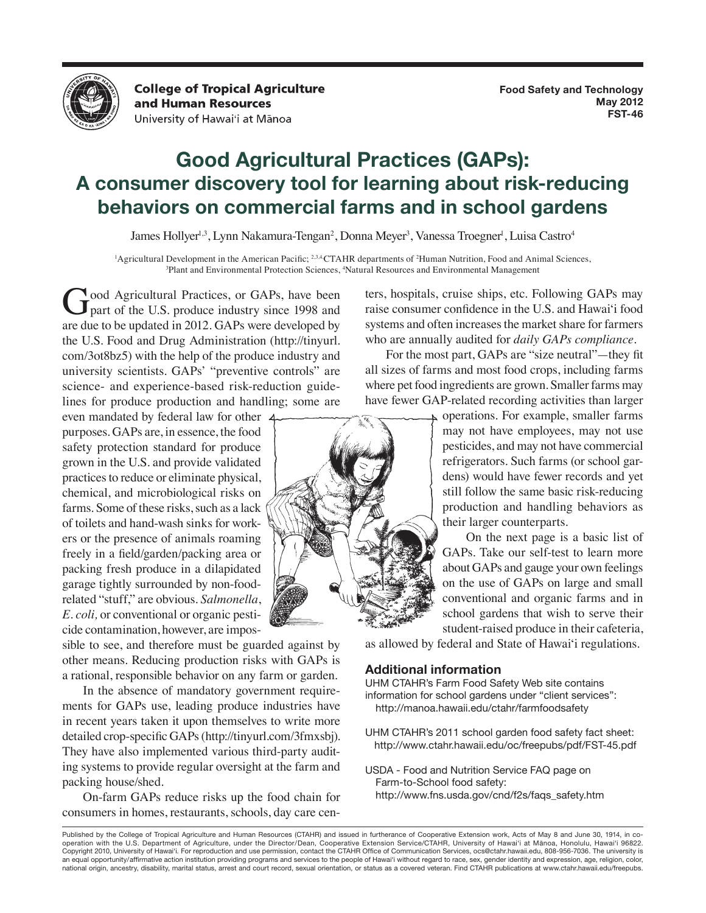

**College of Tropical Agriculture** and Human Resources University of Hawai'i at Mānoa

## **Good Agricultural Practices (GAPs): A consumer discovery tool for learning about risk-reducing behaviors on commercial farms and in school gardens**

James Hollyer<sup>1,3</sup>, Lynn Nakamura-Tengan<sup>2</sup>, Donna Meyer<sup>3</sup>, Vanessa Troegner<sup>1</sup>, Luisa Castro<sup>4</sup>

<sup>1</sup>Agricultural Development in the American Pacific; <sup>2,3,4</sup>CTAHR departments of <sup>2</sup>Human Nutrition, Food and Animal Sciences, <sup>3</sup>Natural Protection Sciences <sup>4</sup>Natural Resources and Environmental Management Plant and Environmental Protection Sciences, 4 Natural Resources and Environmental Management

Good Agricultural Practices, or GAPs, have been<br>part of the U.S. produce industry since 1998 and are due to be updated in 2012. GAPs were developed by the U.S. Food and Drug Administration (http://tinyurl. com/3ot8bz5) with the help of the produce industry and university scientists. GAPs' "preventive controls" are science- and experience-based risk-reduction guidelines for produce production and handling; some are

even mandated by federal law for other purposes. GAPs are, in essence, the food safety protection standard for produce grown in the U.S. and provide validated practices to reduce or eliminate physical, chemical, and microbiological risks on farms. Some of these risks, such as a lack of toilets and hand-wash sinks for workers or the presence of animals roaming freely in a field/garden/packing area or packing fresh produce in a dilapidated garage tightly surrounded by non-foodrelated "stuff," are obvious. *Salmonella*, *E. coli,* or conventional or organic pesticide contamination, however, are impos-

sible to see, and therefore must be guarded against by other means. Reducing production risks with GAPs is a rational, responsible behavior on any farm or garden.

In the absence of mandatory government requirements for GAPs use, leading produce industries have in recent years taken it upon themselves to write more detailed crop-specific GAPs (http://tinyurl.com/3fmxsbj). They have also implemented various third-party auditing systems to provide regular oversight at the farm and packing house/shed.

On-farm GAPs reduce risks up the food chain for consumers in homes, restaurants, schools, day care centers, hospitals, cruise ships, etc. Following GAPs may raise consumer confidence in the U.S. and Hawai'i food systems and often increases the market share for farmers who are annually audited for *daily GAPs compliance.*

For the most part, GAPs are "size neutral"—they fit all sizes of farms and most food crops, including farms where pet food ingredients are grown. Smaller farms may have fewer GAP-related recording activities than larger



operations. For example, smaller farms may not have employees, may not use pesticides, and may not have commercial refrigerators. Such farms (or school gardens) would have fewer records and yet still follow the same basic risk-reducing production and handling behaviors as their larger counterparts.

 On the next page is a basic list of GAPs. Take our self-test to learn more about GAPs and gauge your own feelings on the use of GAPs on large and small conventional and organic farms and in school gardens that wish to serve their student-raised produce in their cafeteria,

as allowed by federal and State of Hawai'i regulations.

## **Additional information**

UHM CTAHR's Farm Food Safety Web site contains information for school gardens under "client services": http://manoa.hawaii.edu/ctahr/farmfoodsafety

UHM CTAHR's 2011 school garden food safety fact sheet: http://www.ctahr.hawaii.edu/oc/freepubs/pdf/FST-45.pdf

USDA - Food and Nutrition Service FAQ page on Farm-to-School food safety: http://www.fns.usda.gov/cnd/f2s/faqs\_safety.htm

Published by the College of Tropical Agriculture and Human Resources (CTAHR) and issued in furtherance of Cooperative Extension work, Acts of May 8 and June 30, 1914, in cooperation with the U.S. Department of Agriculture, under the Director/Dean, Cooperative Extension Service/CTAHR, University of Hawai'i at Mānoa, Honolulu, Hawai'i 96822. Copyright 2010, University of Hawai'i. For reproduction and use permission, contact the CTAHR Office of Communication Services, ocs@ctahr.hawaii.edu, 808-956-7036. The university is an equal opportunity/affirmative action institution providing programs and services to the people of Hawai'i without regard to race, sex, gender identity and expression, age, religion, color, national origin, ancestry, disability, marital status, arrest and court record, sexual orientation, or status as a covered veteran. Find CTAHR publications at www.ctahr.hawaii.edu/freepubs.